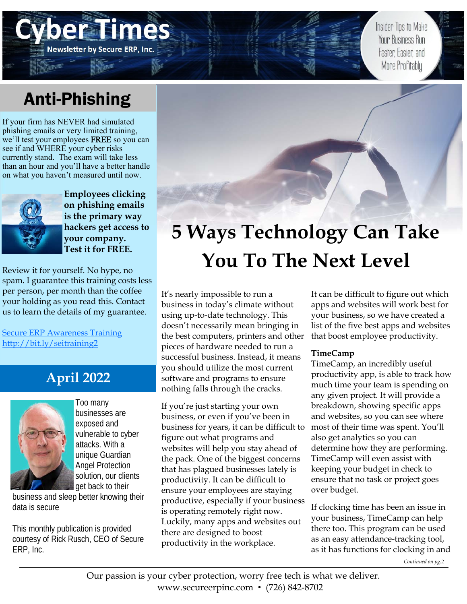## Anti-Phishing

Newsletter by Secure ERP, Inc.

If your firm has NEVER had simulated phishing emails or very limited training, we'll test your employees FREE so you can see if and WHERE your cyber risks currently stand. The exam will take less than an hour and you'll have a better handle on what you haven't measured until now.



**Employees clicking on phishing emails is the primary way hackers get access to your company. Test it for FREE.** 

Review it for yourself. No hype, no spam. I guarantee this training costs less per person, per month than the coffee your holding as you read this. Contact us to learn the details of my guarantee.

**Secure ERP Awareness Training** http://bit.ly/seitraining2

### **April 2022**



Too many businesses are exposed and vulnerable to cyber attacks. With a unique Guardian Angel Protection solution, our clients get back to their

business and sleep better knowing their data is secure

This monthly publication is provided courtesy of Rick Rusch, CEO of Secure ERP, Inc.

# **5 Ways Technology Can Take You To The Next Level**

It's nearly impossible to run a business in today's climate without using up-to-date technology. This doesn't necessarily mean bringing in the best computers, printers and other pieces of hardware needed to run a successful business. Instead, it means you should utilize the most current software and programs to ensure nothing falls through the cracks.

If you're just starting your own business, or even if you've been in business for years, it can be difficult to figure out what programs and websites will help you stay ahead of the pack. One of the biggest concerns that has plagued businesses lately is productivity. It can be difficult to ensure your employees are staying productive, especially if your business is operating remotely right now. Luckily, many apps and websites out there are designed to boost productivity in the workplace.

It can be difficult to figure out which apps and websites will work best for your business, so we have created a list of the five best apps and websites that boost employee productivity.

Insider Tips to Make **Your Business Run** 

Faster, Easier, and More Profitably

### **TimeCamp**

TimeCamp, an incredibly useful productivity app, is able to track how much time your team is spending on any given project. It will provide a breakdown, showing specific apps and websites, so you can see where most of their time was spent. You'll also get analytics so you can determine how they are performing. TimeCamp will even assist with keeping your budget in check to ensure that no task or project goes over budget.

If clocking time has been an issue in your business, TimeCamp can help there too. This program can be used as an easy attendance-tracking tool, as it has functions for clocking in and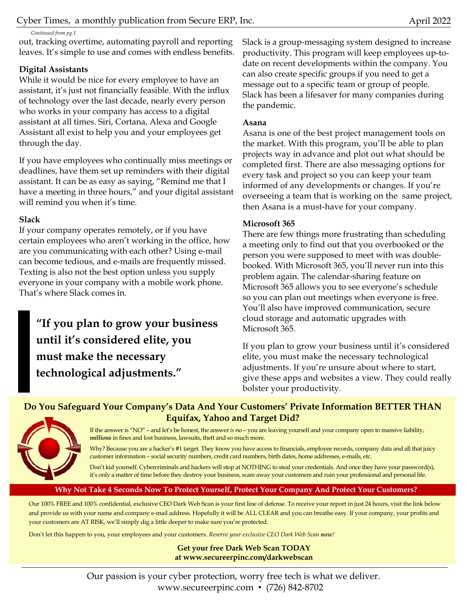*Continued from pg.1* 

out, tracking overtime, automating payroll and reporting leaves. It's simple to use and comes with endless benefits.

### **Digital Assistants**

While it would be nice for every employee to have an assistant, it's just not financially feasible. With the influx of technology over the last decade, nearly every person who works in your company has access to a digital assistant at all times. Siri, Cortana, Alexa and Google Assistant all exist to help you and your employees get through the day.

If you have employees who continually miss meetings or deadlines, have them set up reminders with their digital assistant. It can be as easy as saying, "Remind me that I have a meeting in three hours," and your digital assistant will remind you when it's time.

### **Slack**

If your company operates remotely, or if you have certain employees who aren't working in the office, how are you communicating with each other? Using e-mail can become tedious, and e-mails are frequently missed. Texting is also not the best option unless you supply everyone in your company with a mobile work phone. That's where Slack comes in.

**"If you plan to grow your business until it's considered elite, you must make the necessary technological adjustments."** 

Slack is a group-messaging system designed to increase productivity. This program will keep employees up-todate on recent developments within the company. You can also create specific groups if you need to get a message out to a specific team or group of people. Slack has been a lifesaver for many companies during the pandemic.

### **Asana**

Asana is one of the best project management tools on the market. With this program, you'll be able to plan projects way in advance and plot out what should be completed first. There are also messaging options for every task and project so you can keep your team informed of any developments or changes. If you're overseeing a team that is working on the same project, then Asana is a must-have for your company.

### **Microsoft 365**

There are few things more frustrating than scheduling a meeting only to find out that you overbooked or the person you were supposed to meet with was doublebooked. With Microsoft 365, you'll never run into this problem again. The calendar-sharing feature on Microsoft 365 allows you to see everyone's schedule so you can plan out meetings when everyone is free. You'll also have improved communication, secure cloud storage and automatic upgrades with Microsoft 365.

If you plan to grow your business until it's considered elite, you must make the necessary technological adjustments. If you're unsure about where to start, give these apps and websites a view. They could really bolster your productivity.

### **Do You Safeguard Your Company's Data And Your Customers' Private Information BETTER THAN Equifax, Yahoo and Target Did?**



If the answer is "NO" – and let's be honest, the answer *is* no – you are leaving yourself and your company open to massive liability, *millions* in fines and lost business, lawsuits, theft and so much more.

Why? Because you are a hacker's #1 target. They know you have access to financials, employee records, company data and all that juicy customer information – social security numbers, credit card numbers, birth dates, home addresses, e-mails, etc.

Don't kid yourself. Cybercriminals and hackers will stop at NOTHING to steal your credentials. And once they have your password(s), it's only a matter of time before they destroy your business, scare away your customers and ruin your professional and personal life.

### **Why Not Take 4 Seconds Now To Protect Yourself, Protect Your Company And Protect Your Customers?**

Our 100% FREE and 100% confidential, exclusive CEO Dark Web Scan is your first line of defense. To receive your report in just 24 hours, visit the link below and provide us with your name and company e-mail address. Hopefully it will be ALL CLEAR and you can breathe easy. If your company, your profits and your customers are AT RISK, we'll simply dig a little deeper to make sure you're protected.

Don't let this happen to you, your employees and your customers. *Reserve your exclusive CEO Dark Web Scan now!*

#### **Get your free Dark Web Scan TODAY at www.secureerpinc.com/darkwebscan**

Our passion is your cyber protection, worry free tech is what we deliver. www.secureerpinc.com • (726) 842-8702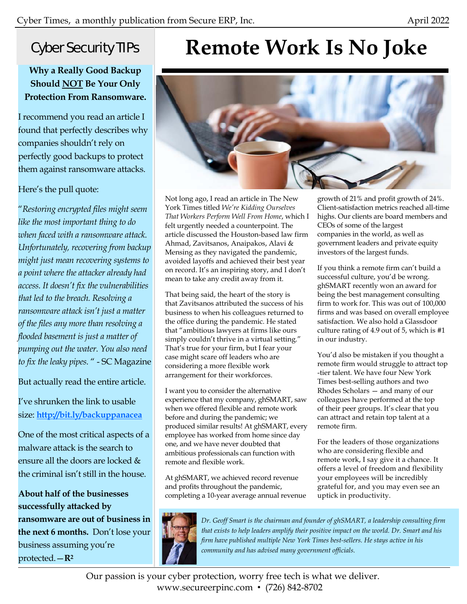### Cyber Security TIPs

### **Why a Really Good Backup Should NOT Be Your Only Protection From Ransomware.**

I recommend you read an article I found that perfectly describes why companies shouldn't rely on perfectly good backups to protect them against ransomware attacks.

### Here's the pull quote:

"*Restoring encrypted files might seem like the most important thing to do when faced with a ransomware attack. Unfortunately, recovering from backup might just mean recovering systems to a point where the attacker already had access. It doesn't fix the vulnerabilities that led to the breach. Resolving a ransomware attack isn't just a matter of the files any more than resolving a flooded basement is just a matter of pumping out the water. You also need to fix the leaky pipes.* " - SC Magazine

But actually read the entire article.

I've shrunken the link to usable size: **http://bit.ly/backuppanacea**

One of the most critical aspects of a malware attack is the search to ensure all the doors are locked & the criminal isn't still in the house.

**About half of the businesses successfully attacked by ransomware are out of business in the next 6 months.** Don't lose your business assuming you're protected.—**R2**

## **Remote Work Is No Joke**



Not long ago, I read an article in The New York Times titled *We're Kidding Ourselves That Workers Perform Well From Home*, which I felt urgently needed a counterpoint. The article discussed the Houston-based law firm Ahmad, Zavitsanos, Anaipakos, Alavi & Mensing as they navigated the pandemic, avoided layoffs and achieved their best year on record. It's an inspiring story, and I don't mean to take any credit away from it.

That being said, the heart of the story is that Zavitsanos attributed the success of his business to when his colleagues returned to the office during the pandemic. He stated that "ambitious lawyers at firms like ours simply couldn't thrive in a virtual setting." That's true for your firm, but I fear your case might scare off leaders who are considering a more flexible work arrangement for their workforces.

I want you to consider the alternative experience that my company, ghSMART, saw when we offered flexible and remote work before and during the pandemic; we produced similar results! At ghSMART, every employee has worked from home since day one, and we have never doubted that ambitious professionals can function with remote and flexible work.

At ghSMART, we achieved record revenue and profits throughout the pandemic, completing a 10-year average annual revenue

growth of 21% and profit growth of 24%. Client-satisfaction metrics reached all-time highs. Our clients are board members and CEOs of some of the largest companies in the world, as well as government leaders and private equity investors of the largest funds.

If you think a remote firm can't build a successful culture, you'd be wrong. ghSMART recently won an award for being the best management consulting firm to work for. This was out of 100,000 firms and was based on overall employee satisfaction. We also hold a Glassdoor culture rating of 4.9 out of 5, which is #1 in our industry.

You'd also be mistaken if you thought a remote firm would struggle to attract top -tier talent. We have four New York Times best-selling authors and two Rhodes Scholars — and many of our colleagues have performed at the top of their peer groups. It's clear that you can attract and retain top talent at a remote firm.

For the leaders of those organizations who are considering flexible and remote work, I say give it a chance. It offers a level of freedom and flexibility your employees will be incredibly grateful for, and you may even see an uptick in productivity.



*Dr. Geoff Smart is the chairman and founder of ghSMART, a leadership consulting firm that exists to help leaders amplify their positive impact on the world. Dr. Smart and his firm have published multiple New York Times best-sellers. He stays active in his community and has advised many government officials.* 

Our passion is your cyber protection, worry free tech is what we deliver. www.secureerpinc.com • (726) 842-8702